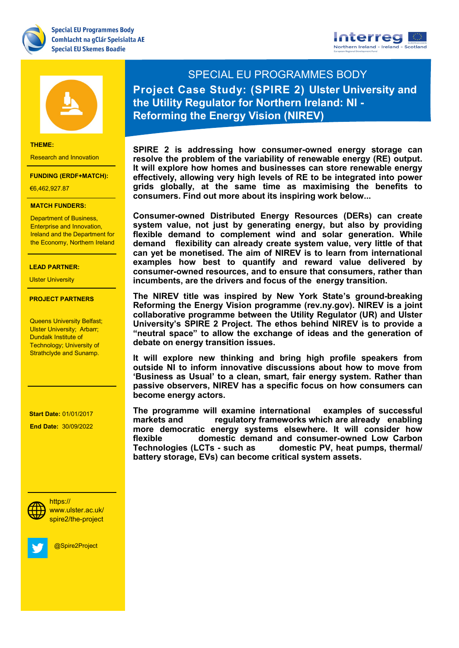





### **THEME:**

Research and Innovation

#### **FUNDING (ERDF+MATCH):**

€6,462,927.87

### **MATCH FUNDERS:**

**Department of Business,** Ireland and the Department for Health & Life Sciences Enterprise and Innovation, the Economy, Northern Ireland

## Renewable Energy **LEAD PARTNER:**

Ulster University

## **PROJECT PARTNERS**

<del>Dundaik mstitute or</del><br>Technology; University of Strathclyde and Sunamp. Queens University Belfast; Ulster University; Arbarr; Dundalk Institute of

 **Start Date:** 01/01/2017

- The South West

 **End Date:** 30/09/2022



spire2/the-project

@Spire2Project

SPECIAL EU PROGRAMMES BODY **Project Case Study: (SPIRE 2) Ulster University and the Utility Regulator for Northern Ireland: NI - Reforming the Energy Vision (NIREV)**

**SPIRE 2 is addressing how consumer-owned energy storage can resolve the problem of the variability of renewable energy (RE) output. It will explore how homes and businesses can store renewable energy effectively, allowing very high levels of RE to be integrated into power grids globally, at the same time as maximising the benefits to consumers. Find out more about its inspiring work below...**

**Consumer-owned Distributed Energy Resources (DERs) can create system value, not just by generating energy, but also by providing flexible demand to complement wind and solar generation. While demand flexibility can already create system value, very little of that can yet be monetised. The aim of NIREV is to learn from international examples how best to quantify and reward value delivered by consumer-owned resources, and to ensure that consumers, rather than incumbents, are the drivers and focus of the energy transition.**

**The NIREV title was inspired by New York State's ground-breaking Reforming the Energy Vision programme (rev.ny.gov). NIREV is a joint collaborative programme between the Utility Regulator (UR) and Ulster University's SPIRE 2 Project. The ethos behind NIREV is to provide a "neutral space" to allow the exchange of ideas and the generation of debate on energy transition issues.** 

**It will explore new thinking and bring high profile speakers from outside NI to inform innovative discussions about how to move from 'Business as Usual' to a clean, smart, fair energy system. Rather than passive observers, NIREV has a specific focus on how consumers can become energy actors.** 

**The programme will examine international examples of successful markets and regulatory frameworks which are already enabling more democratic energy systems elsewhere. It will consider how flexible domestic demand and consumer-owned Low Carbon Technologies (LCTs - such as domestic PV, heat pumps, thermal/ battery storage, EVs) can become critical system assets.**